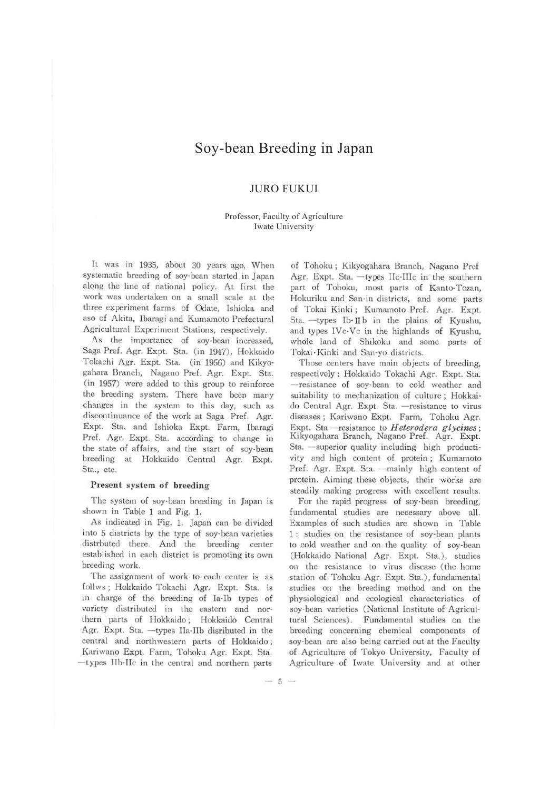# Soy-bean Breeding in Japan

## JURO FUKUI

### Professor, Faculty of Agriculture Iwate University

It was in 1935, about 30 years ago, When systematic breeding of soy-bean started in Japan along the line of national policy. At first the work was undertaken on a small scale at the three experiment farms of Odate, Ishioka and aso of Akita, lbaragi and Kumamoto Prefectural Agricultural Experiment Stations, respectively.

As the importance of soy-bean increased, Saga Pref. Agr. Expt. Sta. (in 1947), Hokkaido Tokachi Agr. Expt. Sta. (in 1956) and Kikyogahara Branch, Nagano Pref. Agr. Expt. Sta. (in 1957) were added to this group to reinforce the breeding system. There have been many changes in the system to this day, such as discontinuance of the work at Saga Pref. Agr. Expt. Sta. and Ishioka Expt. Farm, Ibaragi Pref. Agr. Expt. Sta. according to change in the state of affairs, and the start of soy-bean breeding at Hokkaido Central Agr. Expt. Sta., etc.

#### Present system of breeding

The system of soy-bean breeding in Japan is shown in Table 1 and Fig. 1.

As indicated in Fig. 1, Japan can be divided into 5 districts by the type of soy-bean varieties distrbuted there. And the breeding center established in each district is promoting its own breeding work.

The assignment of work to each center is as follws; Hokkaido Tokachi Agr. Expt. Sta. is in charge of the breeding of Ia-lb types of variety distributed in the eastern and northern parts of Hokkaido ; Hokkaido Central Agr. Expt. Sta. --types IIa-IIb disributed in the central and northwestern parts of Hokkaido ; Kariwano Expt. Farm, Tohoku Agr. Expt. Sta.  $-t$ ypes IIb-IIc in the central and northern parts

of Tohoku ; Kikyogahara Branch, Nagano Pref Agr. Expt. Sta. -types IIc-IIIc in the southern part of Tohoku, most parts of Kanto-Tozan, Hokuriku and San-in districts, and some parts of Tokai Kinki ; Kumamoto Pref. Agr. Expt. Sta. - types Ib- II b in the plains of Kyushu, and types !Ve-Ve in the highlands of Kyushu, whole land of Shikoku and some parts of Tokai · Kinki and San-yo districts.

Those centers have main objects of breeding, respectively : Hokkaido Tokachi Agr. Expt. Sta. - resistance of soy-bean to cold weather and suitability to mechanization of culture; Hokkaido Central Agr. Expt. Sta. - resistance to virus diseases; Kariwano Expt. Farm, Tohoku Agr. Expt. Sta - resistance to *Heterodera glycines*; Kikyogahara Branch, Nagano Pref. Agr. Expt. Sta. - superior quality including high productivity and high content of protein ; Kumamoto Pref. Agr. Expt. Sta. - mainly high content of protein. Aiming these objects, their works are steadily making progress with excellent results.

For the rapid progress of soy-bean breeding, fundamental studies are necessary above all. Examples of such studies are shown in Table 1 : studies on the resistance of soy-bean plants to cold weather and on the quality of soy-bean (Hokkaido National Agr. Expt. Sta.), studies on the resistance to virus disease (the home station of Tohoku Agr. Expt. Sta.), fundamental studies on the breeding method and on the physiological and ecological characteristics of soy-bean varieties (National Institute of Agricultural Sciences). Fundamental studies on the breeding concerning chemical components of soy-bean are also being carried out at the Faculty of Agriculture of Tokyo University, Faculty of Agriculture of Iwate University and at other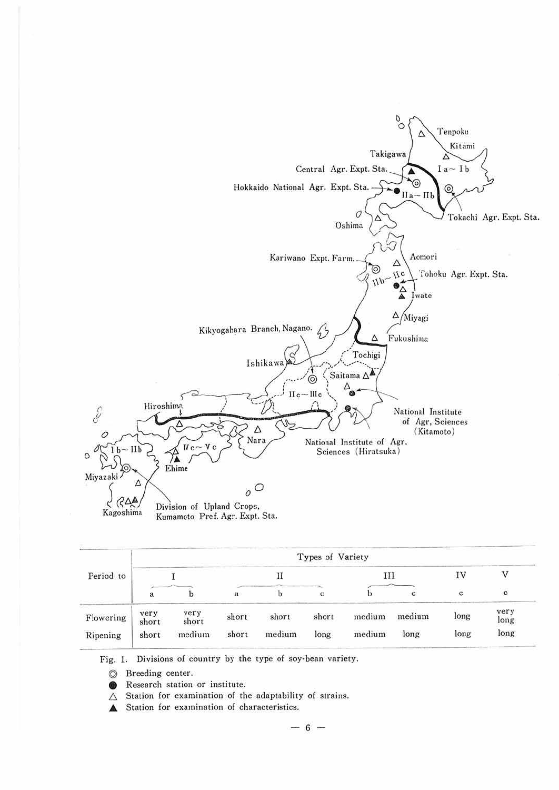

| Period to | Types of Variety |               |       |        |       |        |        |      |              |
|-----------|------------------|---------------|-------|--------|-------|--------|--------|------|--------------|
|           |                  |               |       |        | Ш     |        | IV     |      |              |
|           | a                |               | a     |        | c     |        |        | c    | c            |
| Flowering | very<br>short    | very<br>short | short | short  | short | medium | medium | long | very<br>long |
| Ripening  | short            | medium        | short | medium | long  | medium | long   | long | long         |

Fig. 1. Divisions of country by the type of soy-bean variety.

- © Breeding center.
- **E** Research station or institute.
- $\triangle$  Station for examination of the adaptability of strains.
- .A Station for examination of characteristics.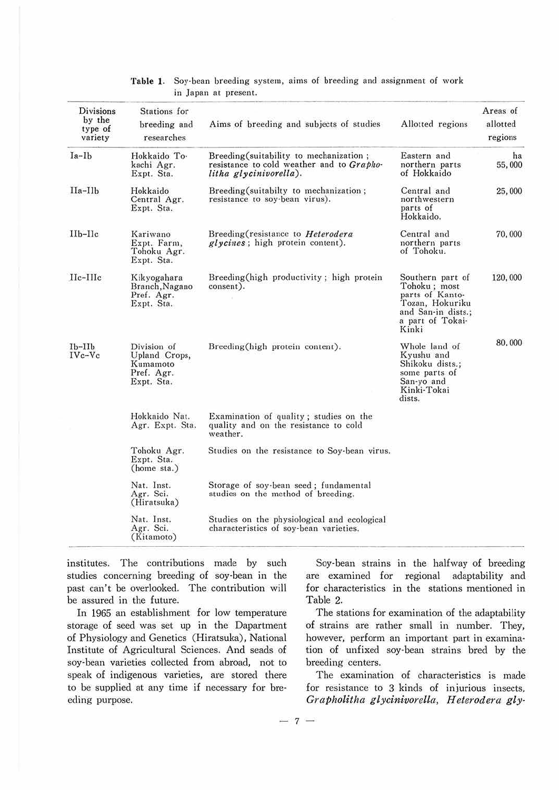| Divisions<br>by the | Stations for<br>breeding and                                         | Aims of breeding and subjects of studies                                                                       | Allotted regions                                                                                                          | Areas of<br>allotted |
|---------------------|----------------------------------------------------------------------|----------------------------------------------------------------------------------------------------------------|---------------------------------------------------------------------------------------------------------------------------|----------------------|
| type of<br>variety  | researches                                                           |                                                                                                                |                                                                                                                           | regions              |
| $Ia-Ib$             | Hokkaido To-<br>kachi Agr.<br>Expt. Sta.                             | Breeding (suitability to mechanization;<br>resistance to cold weather and to Grapho-<br>litha glycinivorella). | Eastern and<br>northern parts<br>of Hokkaido                                                                              | ha<br>55,000         |
| $IIa-IIb$           | Hokkaido<br>Central Agr.<br>Expt. Sta.                               | Breeding (suitabilty to mechanization;<br>resistance to soy-bean virus).                                       | Central and<br>northwestern<br>parts of<br>Hokkaido.                                                                      | 25,000               |
| $IIb-IIc$           | Kariwano<br>Expt. Farm,<br>Tohoku Agr.<br>Expt. Sta.                 | Breeding (resistance to Heterodera<br>glycines; high protein content).                                         | Central and<br>northern parts<br>of Tohoku.                                                                               | 70,000               |
| $IIc$ - $IIIc$      | Kikyogahara<br>Branch, Nagano<br>Pref. Agr.<br>Expt. Sta.            | Breeding(high productivity; high protein<br>consent).                                                          | Southern part of<br>Tohoku; most<br>parts of Kanto-<br>Tozan, Hokuriku<br>and San-in dists.;<br>a part of Tokai-<br>Kinki | 120,000              |
| $Ib-IIb$<br>IVc-Vc  | Division of<br>Upland Crops,<br>Kumamoto<br>Pref. Agr.<br>Expt. Sta. | Breeding(high protein content).                                                                                | Whole land of<br>Kyushu and<br>Shikoku dists.;<br>some parts of<br>San-yo and<br>Kinki-Tokai<br>dists.                    | 80,000               |
|                     | Hokkaido Nat.<br>Agr. Expt. Sta.                                     | Examination of quality; studies on the<br>quality and on the resistance to cold<br>weather.                    |                                                                                                                           |                      |
|                     | Tohoku Agr.<br>Expt. Sta.<br>(home sta.)                             | Studies on the resistance to Soy-bean virus.                                                                   |                                                                                                                           |                      |
|                     | Nat. Inst.<br>Agr. Sci.<br>(Hiratsuka)                               | Storage of soy-bean seed; fundamental<br>studies on the method of breeding.                                    |                                                                                                                           |                      |
|                     | Nat. Inst.<br>Agr. Sci.<br>(Kitamoto)                                | Studies on the physiological and ecological<br>characteristics of soy-bean varieties.                          |                                                                                                                           |                      |

**Table 1.** Soy·bean breeding system, aims of breeding and assignment of work in Japan at present.

institutes. The contributions made by such studies concerning breeding of soy·bean in the past can't be overlooked. The contribution will be assured in the future.

In 1965 an establishment for low temperature storage of seed was set up in the Dapartment of Physiology and Genetics (Hiratsuka), National Institute of Agricultural Sciences. And seads of soy·bean varieties collected from abroad, not to speak of indigenous varieties, are stored there to be supplied at any time if necessary for bre· eding purpose.

Soy-bean strains in the halfway of breeding are examined for regional adaptability and for characteristics in the stations mentioned in Table 2.

The stations for examination of the adaptability of strains are rather small in number. They, however, perform an important part in examina· tion of unfixed soy-bean strains bred by the breeding centers.

The examination of characteristics is made for resistance to 3 kinds of injurious insects, *Grapholitha glycinivorella, H eterodera gly·* 

 $- 7 -$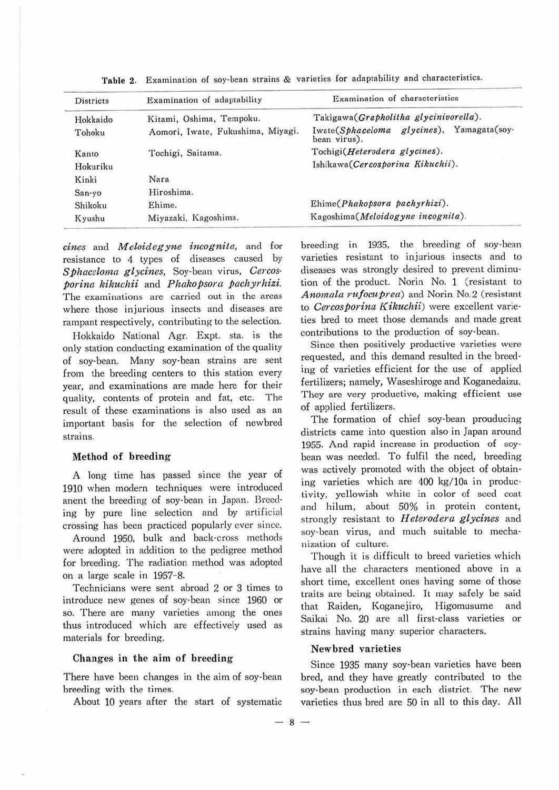| <b>Districts</b> | Examination of adaptability       | Examination of characteristics<br>Takigawa (Grapholitha glycinivorella). |  |  |  |
|------------------|-----------------------------------|--------------------------------------------------------------------------|--|--|--|
| Hokkaido         | Kitami, Oshima, Tempoku.          |                                                                          |  |  |  |
| Tohoku           | Aomori, Iwate, Fukushima, Miyagi. | Iwate(Sphaceloma glycines), Yamagata(soy-<br>bean virus).                |  |  |  |
| Kanto            | Tochigi, Saitama.                 | Tochigi(Heterodera glycines).                                            |  |  |  |
| Hokuriku         |                                   | Ishikawa(Cercosporina Kikuchii).                                         |  |  |  |
| Kinki            | Nara                              |                                                                          |  |  |  |
| San-yo           | Hiroshima.                        |                                                                          |  |  |  |
| Shikoku          | Ehime.                            | Ehime(Phakopsora pachyrhizi).                                            |  |  |  |
| Kyushu           | Miyazaki, Kagoshima.              | Kagoshima(Meloidogyne incognita).                                        |  |  |  |

Table 2. Examination of soy-bean strains & varieties for adaptability and characteristics.

*cines* and *Meloidegyne incognita,* and for resistance to 4 types of diseases caused by *Sphaceloma glycines,* Soy-bean virus, *Cercosporina kikuchii* and *Phakopsora pachyrhizi.*  The examinations are carried out in the areas where those injurious insects and diseases are rampant respectively, contributing to the selection.

Hokkaido National Agr. Expt. sta. is the only station conducting examination of the quality of soy-bean. Many soy-bean strains are sent from the breeding centers to this station every year, and examinations are made here for their quality, contents of protein and fat, etc. The result of these examinations is also used as an important basis for the selection of newbred strains.

#### Method of breeding

A long time has passed since the year of 1910 when modern techniques were introduced anent the breeding of soy-bean in Japan. Breed· ing by pure line selection and by artificial crossing has been practiced popularly ever since.

Around 1950, bulk and back-cross methods were adopted in addition to the pedigree method for breeding. The radiation method was adopted on a large scale in 1957-8.

Technicians were sent abroad 2 or 3 times to introduce new genes of soy-bean since 1960 or so. There are many varieties among the ones thus introduced which are effectively used as materials for breeding.

#### Changes in the aim of breeding

There have been changes in the aim of soy-bean breeding with the times.

About 10 years after the start of systematic

breeding in 1935, the breeding of soy-bean varieties resistant to injurious insects and to diseases was strongly desired to prevent diminution of the product. Norin No. 1 (resistant to *Anomala rufocuprea)* and Norin No.2 (resistant to *Cercosporina Kikuchii*) were excellent varieties bred to meet those demands and made great contributions to the production of soy-bean.

Since then positively productive varieties were requested, and this demand resulted in the breed· ing of varieties efficient for the use of applied fertilizers; namely, Waseshiroge and Koganedaizu. They are very productive, making efficient use of applied fertilizers.

The formation of chief soy-bean prouducing districts came into question also in Japan around 1955. And rapid increase in production of soy· bean was needed. To fulfil the need, breeding was actively promoted with the object of obtain· ing varieties which are 400 kg/lOa in productivity, yellowish white in color of seed coat and hilum, about 50% in protein content, strongly resistant to *H eterodera glycines* and soy-bean virus, and much suitable to mecha· nization of culture.

Though it is difficult to breed varieties which have all the characters mentioned above in a short time, excellent ones having some of those traits are being obtained. It may safely be said that Raiden, Koganejiro, Higomusume and Saikai No. 20 are all first-class varieties or strains having many superior characters.

#### **Newbred varieties**

Since 1935 many soy-bean varieties have been bred, and they have greatly contributed to the soy-bean production in each district. The new varieties thus bred are 50 in all to this day. All